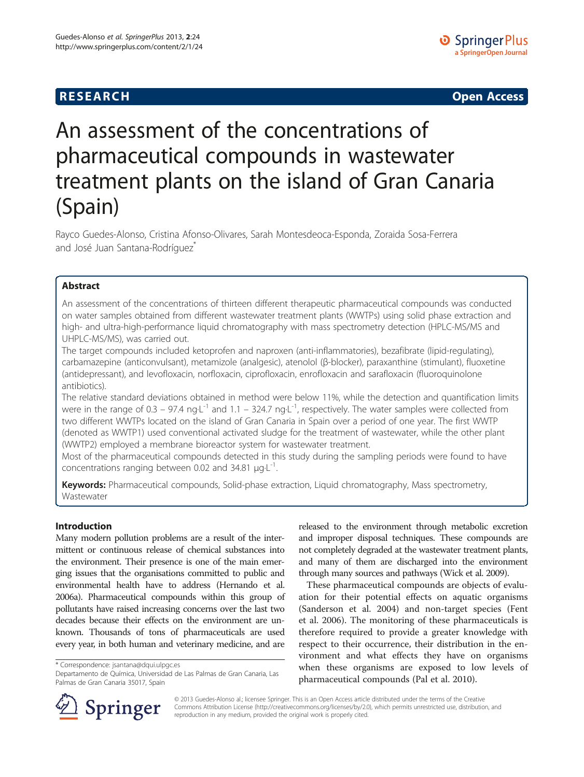**RESEARCH RESEARCH CONSUMING ACCESS** 

# An assessment of the concentrations of pharmaceutical compounds in wastewater treatment plants on the island of Gran Canaria (Spain)

Rayco Guedes-Alonso, Cristina Afonso-Olivares, Sarah Montesdeoca-Esponda, Zoraida Sosa-Ferrera and José Juan Santana-Rodríguez

# Abstract

An assessment of the concentrations of thirteen different therapeutic pharmaceutical compounds was conducted on water samples obtained from different wastewater treatment plants (WWTPs) using solid phase extraction and high- and ultra-high-performance liquid chromatography with mass spectrometry detection (HPLC-MS/MS and UHPLC-MS/MS), was carried out.

The target compounds included ketoprofen and naproxen (anti-inflammatories), bezafibrate (lipid-regulating), carbamazepine (anticonvulsant), metamizole (analgesic), atenolol (β-blocker), paraxanthine (stimulant), fluoxetine (antidepressant), and levofloxacin, norfloxacin, ciprofloxacin, enrofloxacin and sarafloxacin (fluoroquinolone antibiotics).

The relative standard deviations obtained in method were below 11%, while the detection and quantification limits were in the range of 0.3 – 97.4 ng $L^{-1}$  and 1.1 – 324.7 ng $L^{-1}$ , respectively. The water samples were collected from two different WWTPs located on the island of Gran Canaria in Spain over a period of one year. The first WWTP (denoted as WWTP1) used conventional activated sludge for the treatment of wastewater, while the other plant (WWTP2) employed a membrane bioreactor system for wastewater treatment.

Most of the pharmaceutical compounds detected in this study during the sampling periods were found to have concentrations ranging between 0.02 and 34.81  $\mu$ g·L<sup>-1</sup>.

Keywords: Pharmaceutical compounds, Solid-phase extraction, Liquid chromatography, Mass spectrometry, Wastewater

# Introduction

Many modern pollution problems are a result of the intermittent or continuous release of chemical substances into the environment. Their presence is one of the main emerging issues that the organisations committed to public and environmental health have to address (Hernando et al. [2006a](#page-7-0)). Pharmaceutical compounds within this group of pollutants have raised increasing concerns over the last two decades because their effects on the environment are unknown. Thousands of tons of pharmaceuticals are used every year, in both human and veterinary medicine, and are

\* Correspondence: [jsantana@dqui.ulpgc.es](mailto:jsantana@dqui.ulpgc.es)

Departamento de Química, Universidad de Las Palmas de Gran Canaria, Las Palmas de Gran Canaria 35017, Spain



These pharmaceutical compounds are objects of evaluation for their potential effects on aquatic organisms (Sanderson et al. [2004](#page-7-0)) and non-target species (Fent et al. [2006](#page-7-0)). The monitoring of these pharmaceuticals is therefore required to provide a greater knowledge with respect to their occurrence, their distribution in the environment and what effects they have on organisms when these organisms are exposed to low levels of pharmaceutical compounds (Pal et al. [2010](#page-7-0)).



© 2013 Guedes-Alonso al.; licensee Springer. This is an Open Access article distributed under the terms of the Creative Commons Attribution License (<http://creativecommons.org/licenses/by/2.0>), which permits unrestricted use, distribution, and reproduction in any medium, provided the original work is properly cited.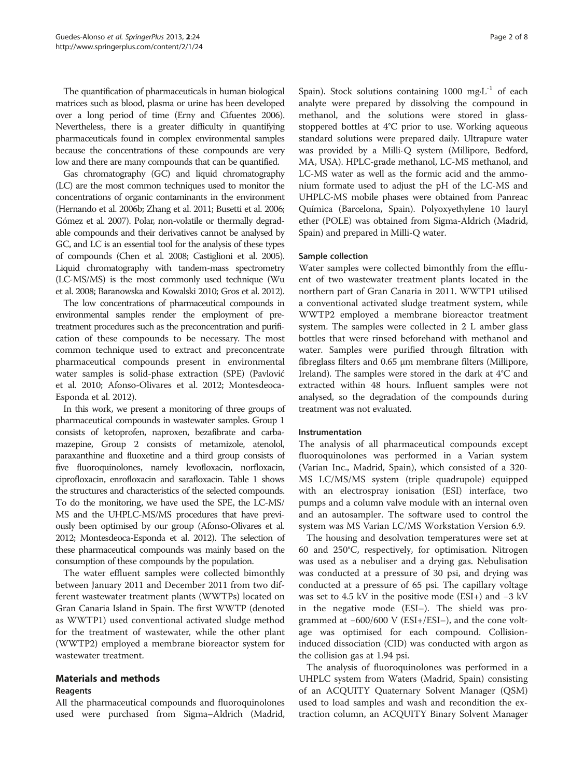The quantification of pharmaceuticals in human biological matrices such as blood, plasma or urine has been developed over a long period of time (Erny and Cifuentes [2006\)](#page-7-0). Nevertheless, there is a greater difficulty in quantifying pharmaceuticals found in complex environmental samples because the concentrations of these compounds are very low and there are many compounds that can be quantified.

Gas chromatography (GC) and liquid chromatography (LC) are the most common techniques used to monitor the concentrations of organic contaminants in the environment (Hernando et al. [2006b;](#page-7-0) Zhang et al. [2011;](#page-7-0) Busetti et al. [2006](#page-7-0); Gómez et al. [2007\)](#page-7-0). Polar, non-volatile or thermally degradable compounds and their derivatives cannot be analysed by GC, and LC is an essential tool for the analysis of these types of compounds (Chen et al. [2008](#page-7-0); Castiglioni et al. [2005\)](#page-7-0). Liquid chromatography with tandem-mass spectrometry (LC-MS/MS) is the most commonly used technique (Wu et al. [2008;](#page-7-0) Baranowska and Kowalski [2010;](#page-7-0) Gros et al. [2012](#page-7-0)).

The low concentrations of pharmaceutical compounds in environmental samples render the employment of pretreatment procedures such as the preconcentration and purification of these compounds to be necessary. The most common technique used to extract and preconcentrate pharmaceutical compounds present in environmental water samples is solid-phase extraction (SPE) (Pavlović et al. [2010;](#page-7-0) Afonso-Olivares et al. [2012](#page-7-0); Montesdeoca-Esponda et al. [2012](#page-7-0)).

In this work, we present a monitoring of three groups of pharmaceutical compounds in wastewater samples. Group 1 consists of ketoprofen, naproxen, bezafibrate and carbamazepine, Group 2 consists of metamizole, atenolol, paraxanthine and fluoxetine and a third group consists of five fluoroquinolones, namely levofloxacin, norfloxacin, ciprofloxacin, enrofloxacin and sarafloxacin. Table [1](#page-2-0) shows the structures and characteristics of the selected compounds. To do the monitoring, we have used the SPE, the LC-MS/ MS and the UHPLC-MS/MS procedures that have previously been optimised by our group (Afonso-Olivares et al. [2012](#page-7-0); Montesdeoca-Esponda et al. [2012\)](#page-7-0). The selection of these pharmaceutical compounds was mainly based on the consumption of these compounds by the population.

The water effluent samples were collected bimonthly between January 2011 and December 2011 from two different wastewater treatment plants (WWTPs) located on Gran Canaria Island in Spain. The first WWTP (denoted as WWTP1) used conventional activated sludge method for the treatment of wastewater, while the other plant (WWTP2) employed a membrane bioreactor system for wastewater treatment.

## Materials and methods

## Reagents

All the pharmaceutical compounds and fluoroquinolones used were purchased from Sigma–Aldrich (Madrid,

Spain). Stock solutions containing 1000 mg $L^{-1}$  of each analyte were prepared by dissolving the compound in methanol, and the solutions were stored in glassstoppered bottles at 4°C prior to use. Working aqueous standard solutions were prepared daily. Ultrapure water was provided by a Milli-Q system (Millipore, Bedford, MA, USA). HPLC-grade methanol, LC-MS methanol, and LC-MS water as well as the formic acid and the ammonium formate used to adjust the pH of the LC-MS and UHPLC-MS mobile phases were obtained from Panreac Química (Barcelona, Spain). Polyoxyethylene 10 lauryl ether (POLE) was obtained from Sigma-Aldrich (Madrid, Spain) and prepared in Milli-Q water.

#### Sample collection

Water samples were collected bimonthly from the effluent of two wastewater treatment plants located in the northern part of Gran Canaria in 2011. WWTP1 utilised a conventional activated sludge treatment system, while WWTP2 employed a membrane bioreactor treatment system. The samples were collected in 2 L amber glass bottles that were rinsed beforehand with methanol and water. Samples were purified through filtration with fibreglass filters and 0.65 μm membrane filters (Millipore, Ireland). The samples were stored in the dark at 4°C and extracted within 48 hours. Influent samples were not analysed, so the degradation of the compounds during treatment was not evaluated.

#### Instrumentation

The analysis of all pharmaceutical compounds except fluoroquinolones was performed in a Varian system (Varian Inc., Madrid, Spain), which consisted of a 320- MS LC/MS/MS system (triple quadrupole) equipped with an electrospray ionisation (ESI) interface, two pumps and a column valve module with an internal oven and an autosampler. The software used to control the system was MS Varian LC/MS Workstation Version 6.9.

The housing and desolvation temperatures were set at 60 and 250°C, respectively, for optimisation. Nitrogen was used as a nebuliser and a drying gas. Nebulisation was conducted at a pressure of 30 psi, and drying was conducted at a pressure of 65 psi. The capillary voltage was set to 4.5 kV in the positive mode (ESI+) and −3 kV in the negative mode (ESI–). The shield was programmed at −600/600 V (ESI+/ESI–), and the cone voltage was optimised for each compound. Collisioninduced dissociation (CID) was conducted with argon as the collision gas at 1.94 psi.

The analysis of fluoroquinolones was performed in a UHPLC system from Waters (Madrid, Spain) consisting of an ACQUITY Quaternary Solvent Manager (QSM) used to load samples and wash and recondition the extraction column, an ACQUITY Binary Solvent Manager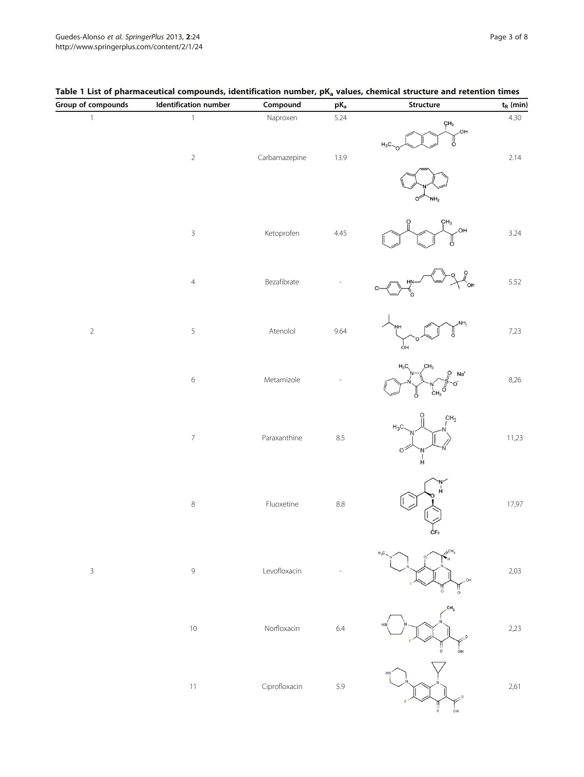| Group of compounds | Identification number    | Compound      | $\mathsf{pK}_\mathsf{a}$ | Structure                                                              | $\mathbf{t}_\text{R}$ (min) |
|--------------------|--------------------------|---------------|--------------------------|------------------------------------------------------------------------|-----------------------------|
| $\,1\,$            | $\mathbbm{1}$            | Naproxen      | 5.24                     | $\zeta H_3$<br>,OH<br>ő<br>$H_3C$                                      | 4.30                        |
|                    | $\sqrt{2}$               | Carbamazepine | 13.9                     |                                                                        | 2.14                        |
|                    | $\mathbf{3}$             | Ketoprofen    | 4.45                     | ÇН <sub>3</sub><br>HO.<br>O                                            | 3.24                        |
|                    | $\overline{4}$           | Bezafibrate   |                          | HŅ<br>`ОН                                                              | 5.52                        |
| $\sqrt{2}$         | $\,$ 5 $\,$              | Atenolol      | 9.64                     | NH <sub>2</sub><br>ő<br>óн                                             | 7,23                        |
|                    | $\,$ 6 $\,$              | Metamizole    |                          | $H_3C$<br>CH <sub>3</sub><br>$Na+$<br>σ<br>$c_{H_3}$ <sup>0</sup><br>Ω | 8,26                        |
|                    | $\overline{\phantom{a}}$ | Paraxanthine  | 8.5                      | CH <sub>3</sub><br>$H_3C$<br>$\circ$ <sup>2</sup><br>$\frac{1}{H}$     | 11,23                       |
|                    | $\,8\,$                  | Fluoxetine    | 8.8                      | ĊF <sub>3</sub>                                                        | 17,97                       |
| $\mathsf{3}$       | $\mathsf 9$              | Levofloxacin  |                          | CH,<br>OH                                                              | 2,03                        |
|                    | $10$                     | Norfloxacin   | 6.4                      | CH <sub>3</sub><br>$\Omega$<br>òн                                      | 2,23                        |
|                    | $11\,$                   | Ciprofloxacin | 5.9                      | HN<br>ÒН                                                               | 2,61                        |

# <span id="page-2-0"></span>Table 1 List of pharmaceutical compounds, identification number, pK<sub>a</sub> values, chemical structure and retention times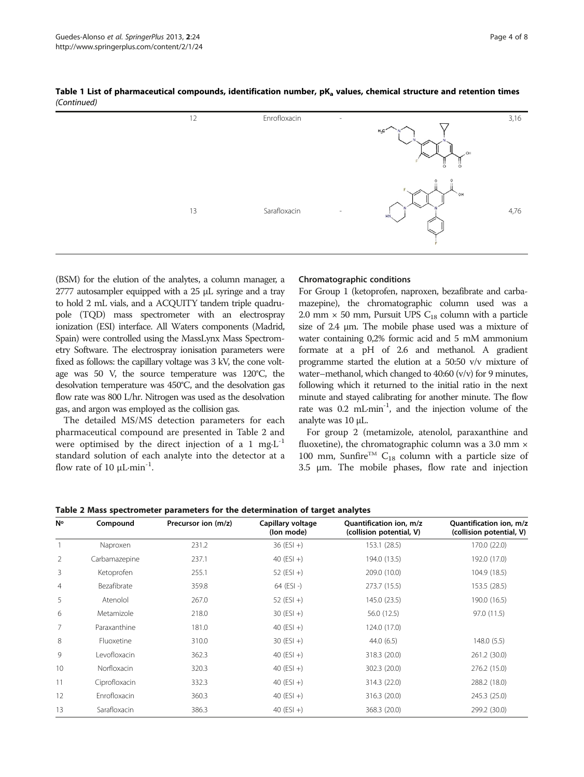| 12 | Enrofloxacin<br>$\overline{\phantom{a}}$ | $H_3C$<br>,OH<br>$\circ$<br>$\circ$ | 3,16 |
|----|------------------------------------------|-------------------------------------|------|
| 13 | Sarafloxacin<br>$\sim$                   | 0<br>`0H<br>HN.                     | 4,76 |

Table 1 List of pharmaceutical compounds, identification number,  $pK<sub>a</sub>$  values, chemical structure and retention times (Continued)

(BSM) for the elution of the analytes, a column manager, a 2777 autosampler equipped with a 25 μL syringe and a tray to hold 2 mL vials, and a ACQUITY tandem triple quadrupole (TQD) mass spectrometer with an electrospray ionization (ESI) interface. All Waters components (Madrid, Spain) were controlled using the MassLynx Mass Spectrometry Software. The electrospray ionisation parameters were fixed as follows: the capillary voltage was 3 kV, the cone voltage was 50 V, the source temperature was 120°C, the desolvation temperature was 450°C, and the desolvation gas flow rate was 800 L/hr. Nitrogen was used as the desolvation gas, and argon was employed as the collision gas.

The detailed MS/MS detection parameters for each pharmaceutical compound are presented in Table 2 and were optimised by the direct injection of a 1 mg $L^{-1}$ standard solution of each analyte into the detector at a flow rate of 10  $\mu$ L·min<sup>-1</sup>.

#### Chromatographic conditions

For Group 1 (ketoprofen, naproxen, bezafibrate and carbamazepine), the chromatographic column used was a 2.0 mm  $\times$  50 mm, Pursuit UPS C<sub>18</sub> column with a particle size of 2.4 μm. The mobile phase used was a mixture of water containing 0,2% formic acid and 5 mM ammonium formate at a pH of 2.6 and methanol. A gradient programme started the elution at a 50:50 v/v mixture of water–methanol, which changed to 40:60 (v/v) for 9 minutes, following which it returned to the initial ratio in the next minute and stayed calibrating for another minute. The flow rate was 0.2 mL·min<sup>-1</sup>, and the injection volume of the analyte was 10 μL.

For group 2 (metamizole, atenolol, paraxanthine and fluoxetine), the chromatographic column was a 3.0 mm  $\times$ 100 mm, Sunfire<sup>TM</sup> C<sub>18</sub> column with a particle size of 3.5 μm. The mobile phases, flow rate and injection

| Table 2 Mass spectrometer parameters for the determination of target analytes |               |                     |                                 |                                                     |                                                     |  |
|-------------------------------------------------------------------------------|---------------|---------------------|---------------------------------|-----------------------------------------------------|-----------------------------------------------------|--|
| N۰                                                                            | Compound      | Precursor ion (m/z) | Capillary voltage<br>(lon mode) | Quantification ion, m/z<br>(collision potential, V) | Quantification ion, m/z<br>(collision potential, V) |  |
|                                                                               | Naproxen      | 231.2               | $36$ (ESI +)                    | 153.1 (28.5)                                        | 170.0 (22.0)                                        |  |
| $\overline{2}$                                                                | Carbamazepine | 237.1               | 40 $(ESI +)$                    | 194.0 (13.5)                                        | 192.0 (17.0)                                        |  |
| 3                                                                             | Ketoprofen    | 255.1               | 52 $(ESI +)$                    | 209.0 (10.0)                                        | 104.9 (18.5)                                        |  |
| 4                                                                             | Bezafibrate   | 359.8               | $64$ (ESI -)                    | 273.7 (15.5)                                        | 153.5 (28.5)                                        |  |
| 5                                                                             | Atenolol      | 267.0               | 52 $(ESI +)$                    | 145.0 (23.5)                                        | 190.0 (16.5)                                        |  |
| 6                                                                             | Metamizole    | 218.0               | $30 (ESI + )$                   | 56.0 (12.5)                                         | 97.0 (11.5)                                         |  |
| 7                                                                             | Paraxanthine  | 181.0               | 40 $(ESI +)$                    | 124.0 (17.0)                                        |                                                     |  |
| 8                                                                             | Fluoxetine    | 310.0               | $30 (ESI + )$                   | 44.0(6.5)                                           | 148.0(5.5)                                          |  |
| 9                                                                             | Levofloxacin  | 362.3               | 40 $(ESI +)$                    | 318.3 (20.0)                                        | 261.2 (30.0)                                        |  |
| 10                                                                            | Norfloxacin   | 320.3               | 40 $(ESI +)$                    | 302.3 (20.0)                                        | 276.2 (15.0)                                        |  |
| 11                                                                            | Ciprofloxacin | 332.3               | 40 $(ESI +)$                    | 314.3 (22.0)                                        | 288.2 (18.0)                                        |  |
| 12                                                                            | Enrofloxacin  | 360.3               | 40 $(ESI +)$                    | 316.3 (20.0)                                        | 245.3 (25.0)                                        |  |
| 13                                                                            | Sarafloxacin  | 386.3               | 40 $(ESI +)$                    | 368.3 (20.0)                                        | 299.2 (30.0)                                        |  |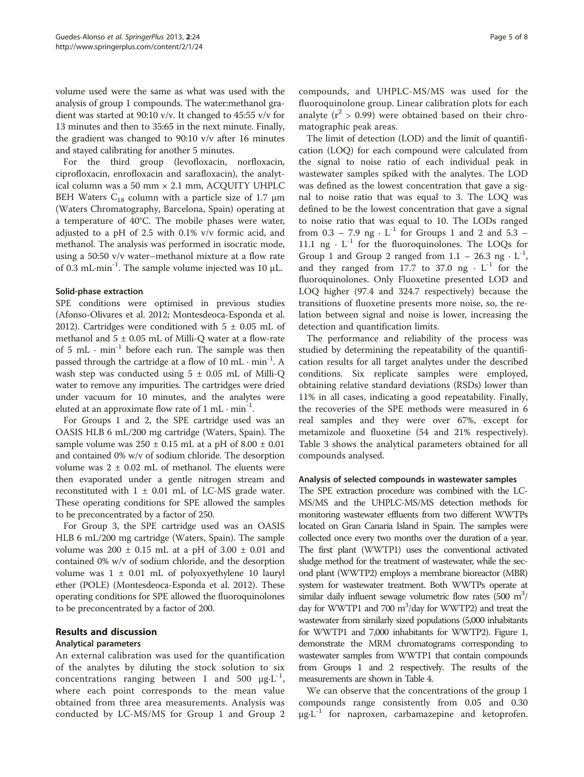volume used were the same as what was used with the analysis of group 1 compounds. The water:methanol gradient was started at 90:10 v/v. It changed to 45:55 v/v for 13 minutes and then to 35:65 in the next minute. Finally, the gradient was changed to 90:10 v/v after 16 minutes and stayed calibrating for another 5 minutes.

For the third group (levofloxacin, norfloxacin, ciprofloxacin, enrofloxacin and sarafloxacin), the analytical column was a 50 mm × 2.1 mm, ACQUITY UHPLC BEH Waters  $C_{18}$  column with a particle size of 1.7 μm (Waters Chromatography, Barcelona, Spain) operating at a temperature of 40°C. The mobile phases were water, adjusted to a pH of 2.5 with 0.1% v/v formic acid, and methanol. The analysis was performed in isocratic mode, using a 50:50 v/v water–methanol mixture at a flow rate of 0.3 mL $\cdot$ min<sup>-1</sup>. The sample volume injected was 10  $\mu$ L.

#### Solid-phase extraction

SPE conditions were optimised in previous studies (Afonso-Olivares et al. [2012;](#page-7-0) Montesdeoca-Esponda et al. [2012\)](#page-7-0). Cartridges were conditioned with  $5 \pm 0.05$  mL of methanol and  $5 \pm 0.05$  mL of Milli-Q water at a flow-rate of 5 mL  $\cdot$  min<sup>-1</sup> before each run. The sample was then passed through the cartridge at a flow of 10 mL  $\cdot$  min<sup>-1</sup>. A wash step was conducted using  $5 \pm 0.05$  mL of Milli-Q water to remove any impurities. The cartridges were dried under vacuum for 10 minutes, and the analytes were eluted at an approximate flow rate of  $1 \text{ mL} \cdot \text{min}^{-1}$ .

For Groups 1 and 2, the SPE cartridge used was an OASIS HLB 6 mL/200 mg cartridge (Waters, Spain). The sample volume was  $250 \pm 0.15$  mL at a pH of  $8.00 \pm 0.01$ and contained 0% w/v of sodium chloride. The desorption volume was  $2 \pm 0.02$  mL of methanol. The eluents were then evaporated under a gentle nitrogen stream and reconstituted with  $1 \pm 0.01$  mL of LC-MS grade water. These operating conditions for SPE allowed the samples to be preconcentrated by a factor of 250.

For Group 3, the SPE cartridge used was an OASIS HLB 6 mL/200 mg cartridge (Waters, Spain). The sample volume was  $200 \pm 0.15$  mL at a pH of  $3.00 \pm 0.01$  and contained 0% w/v of sodium chloride, and the desorption volume was  $1 \pm 0.01$  mL of polyoxyethylene 10 lauryl ether (POLE) (Montesdeoca-Esponda et al. [2012](#page-7-0)). These operating conditions for SPE allowed the fluoroquinolones to be preconcentrated by a factor of 200.

# Results and discussion

## Analytical parameters

An external calibration was used for the quantification of the analytes by diluting the stock solution to six concentrations ranging between 1 and 500  $\mu$ g·L<sup>-1</sup>, where each point corresponds to the mean value obtained from three area measurements. Analysis was conducted by LC-MS/MS for Group 1 and Group 2 compounds, and UHPLC-MS/MS was used for the fluoroquinolone group. Linear calibration plots for each analyte ( $r^2 > 0.99$ ) were obtained based on their chromatographic peak areas.

The limit of detection (LOD) and the limit of quantification (LOQ) for each compound were calculated from the signal to noise ratio of each individual peak in wastewater samples spiked with the analytes. The LOD was defined as the lowest concentration that gave a signal to noise ratio that was equal to 3. The LOQ was defined to be the lowest concentration that gave a signal to noise ratio that was equal to 10. The LODs ranged from  $0.3 - 7.9$  ng  $\cdot$  L<sup>-1</sup> for Groups 1 and 2 and  $5.3 -$ 11.1 ng  $\cdot$  L<sup>-1</sup> for the fluoroquinolones. The LOQs for Group 1 and Group 2 ranged from  $1.1 - 26.3$  ng  $\cdot L^{-1}$ , and they ranged from 17.7 to 37.0 ng  $\cdot$  L<sup>-1</sup> for the fluoroquinolones. Only Fluoxetine presented LOD and LOQ higher (97.4 and 324.7 respectively) because the transitions of fluoxetine presents more noise, so, the relation between signal and noise is lower, increasing the detection and quantification limits.

The performance and reliability of the process was studied by determining the repeatability of the quantification results for all target analytes under the described conditions. Six replicate samples were employed, obtaining relative standard deviations (RSDs) lower than 11% in all cases, indicating a good repeatability. Finally, the recoveries of the SPE methods were measured in 6 real samples and they were over 67%, except for metamizole and fluoxetine (54 and 21% respectively). Table [3](#page-5-0) shows the analytical parameters obtained for all compounds analysed.

#### Analysis of selected compounds in wastewater samples

The SPE extraction procedure was combined with the LC-MS/MS and the UHPLC-MS/MS detection methods for monitoring wastewater effluents from two different WWTPs located on Gran Canaria Island in Spain. The samples were collected once every two months over the duration of a year. The first plant (WWTP1) uses the conventional activated sludge method for the treatment of wastewater, while the second plant (WWTP2) employs a membrane bioreactor (MBR) system for wastewater treatment. Both WWTPs operate at similar daily influent sewage volumetric flow rates  $(500 \text{ m}^3/\text{s})$ day for WWTP1 and 700 m<sup>3</sup>/day for WWTP2) and treat the wastewater from similarly sized populations (5,000 inhabitants for WWTP1 and 7,000 inhabitants for WWTP2). Figure [1](#page-5-0), demonstrate the MRM chromatograms corresponding to wastewater samples from WWTP1 that contain compounds from Groups 1 and 2 respectively. The results of the measurements are shown in Table [4](#page-6-0).

We can observe that the concentrations of the group 1 compounds range consistently from 0.05 and 0.30  $\mu$ g·L<sup>-1</sup> for naproxen, carbamazepine and ketoprofen.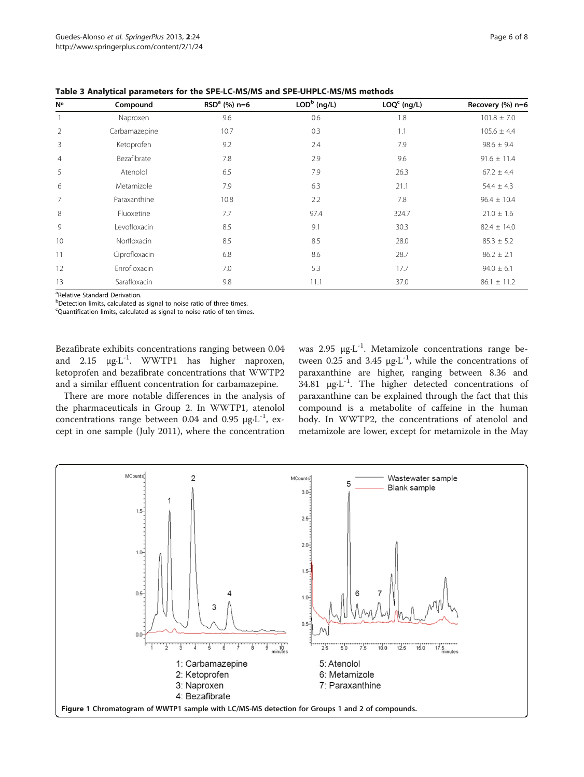| <b>N°</b>      | Compound      | $RSDa$ (%) n=6 | $LODb$ (ng/L) | $LOQc$ (ng/L) | Recovery (%) n=6 |
|----------------|---------------|----------------|---------------|---------------|------------------|
|                | Naproxen      | 9.6            | 0.6           | 1.8           | $101.8 \pm 7.0$  |
| $\overline{2}$ | Carbamazepine | 10.7           | 0.3           | 1.1           | $105.6 \pm 4.4$  |
| 3              | Ketoprofen    | 9.2            | 2.4           | 7.9           | $98.6 \pm 9.4$   |
| 4              | Bezafibrate   | 7.8            | 2.9           | 9.6           | $91.6 \pm 11.4$  |
| 5              | Atenolol      | 6.5            | 7.9           | 26.3          | $67.2 \pm 4.4$   |
| 6              | Metamizole    | 7.9            | 6.3           | 21.1          | $54.4 \pm 4.3$   |
| $\overline{7}$ | Paraxanthine  | 10.8           | 2.2           | 7.8           | $96.4 \pm 10.4$  |
| 8              | Fluoxetine    | 7.7            | 97.4          | 324.7         | $21.0 \pm 1.6$   |
| 9              | Levofloxacin  | 8.5            | 9.1           | 30.3          | $82.4 \pm 14.0$  |
| 10             | Norfloxacin   | 8.5            | 8.5           | 28.0          | $85.3 \pm 5.2$   |
| 11             | Ciprofloxacin | 6.8            | 8.6           | 28.7          | $86.2 \pm 2.1$   |
| 12             | Enrofloxacin  | 7.0            | 5.3           | 17.7          | $94.0 \pm 6.1$   |
| 13             | Sarafloxacin  | 9.8            | 11.1          | 37.0          | $86.1 \pm 11.2$  |

<span id="page-5-0"></span>Table 3 Analytical parameters for the SPE-LC-MS/MS and SPE-UHPLC-MS/MS methods

<sup>a</sup>Relative Standard Derivation.

<sup>b</sup>Detection limits, calculated as signal to noise ratio of three times.

<sup>c</sup>Quantification limits, calculated as signal to noise ratio of ten times.

Bezafibrate exhibits concentrations ranging between 0.04 and 2.15 μg·L<sup>-1</sup>. WWTP1 has higher naproxen, ketoprofen and bezafibrate concentrations that WWTP2 and a similar effluent concentration for carbamazepine.

There are more notable differences in the analysis of the pharmaceuticals in Group 2. In WWTP1, atenolol concentrations range between 0.04 and 0.95 μg·L<sup>-1</sup>, except in one sample (July 2011), where the concentration was 2.95 μg·L-1. Metamizole concentrations range between 0.25 and 3.45 μg·L<sup>-1</sup>, while the concentrations of paraxanthine are higher, ranging between 8.36 and 34.81  $\mu$ g·L<sup>-1</sup>. The higher detected concentrations of paraxanthine can be explained through the fact that this compound is a metabolite of caffeine in the human body. In WWTP2, the concentrations of atenolol and metamizole are lower, except for metamizole in the May

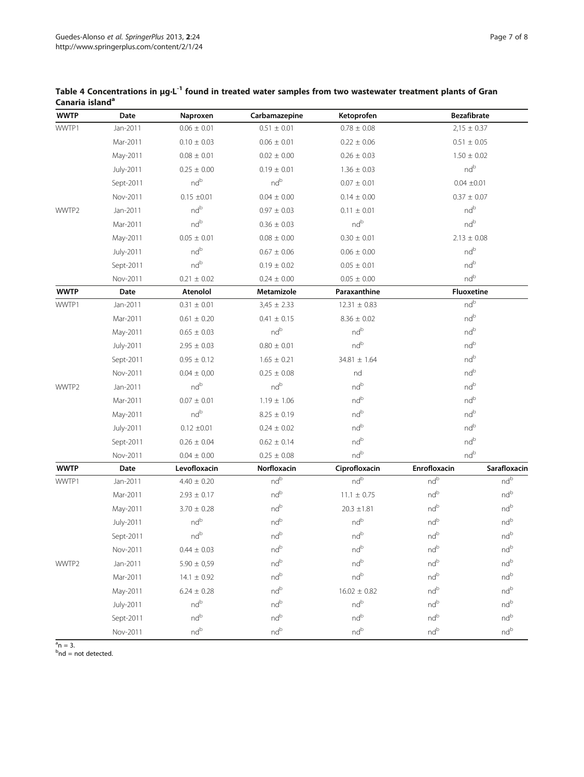| <b>WWTP</b> | Date      | Naproxen        | Carbamazepine   | Ketoprofen                                               | <b>Bezafibrate</b>                                                       |                                                          |  |
|-------------|-----------|-----------------|-----------------|----------------------------------------------------------|--------------------------------------------------------------------------|----------------------------------------------------------|--|
| WWTP1       | Jan-2011  | $0.06 \pm 0.01$ | $0.51 \pm 0.01$ | $0.78 \pm 0.08$                                          | $2,15 \pm 0.37$                                                          |                                                          |  |
|             | Mar-2011  | $0.10 \pm 0.03$ | $0.06 \pm 0.01$ | $0.22 \pm 0.06$                                          |                                                                          | $0.51 \pm 0.05$                                          |  |
|             | May-2011  | $0.08 \pm 0.01$ | $0.02 \pm 0.00$ | $0.26 \pm 0.03$                                          | $1.50 \pm 0.02$<br>nd <sup>b</sup><br>$0.04 \pm 0.01$<br>$0.37 \pm 0.07$ |                                                          |  |
|             | July-2011 | $0.25 \pm 0.00$ | $0.19 \pm 0.01$ | $1.36 \pm 0.03$                                          |                                                                          |                                                          |  |
|             | Sept-2011 | nd <sup>b</sup> | nd <sup>b</sup> | $0.07 \pm 0.01$                                          |                                                                          |                                                          |  |
|             | Nov-2011  | $0.15 \pm 0.01$ | $0.04 \pm 0.00$ | $0.14 \pm 0.00$                                          |                                                                          |                                                          |  |
| WWTP2       | Jan-2011  | nd <sup>b</sup> | $0.97 \pm 0.03$ | $0.11 \pm 0.01$                                          |                                                                          | nd <sup>b</sup>                                          |  |
|             | Mar-2011  | nd <sup>b</sup> | $0.36 \pm 0.03$ | nd <sup>b</sup>                                          | nd <sup>b</sup>                                                          |                                                          |  |
|             | May-2011  | $0.05 \pm 0.01$ | $0.08 \pm 0.00$ | $0.30 \pm 0.01$                                          | $2.13 \pm 0.08$                                                          |                                                          |  |
|             | July-2011 | nd <sup>b</sup> | $0.67 \pm 0.06$ | $0.06 \pm 0.00$                                          |                                                                          | nd <sup>b</sup>                                          |  |
|             | Sept-2011 | nd <sup>b</sup> | $0.19 \pm 0.02$ | $0.05 \pm 0.01$                                          |                                                                          | ndb                                                      |  |
|             | Nov-2011  | $0.21 \pm 0.02$ | $0.24 \pm 0.00$ | $0.05 \pm 0.00$                                          | nd <sup>b</sup>                                                          |                                                          |  |
| <b>WWTP</b> | Date      | Atenolol        | Metamizole      | Paraxanthine                                             |                                                                          | <b>Fluoxetine</b>                                        |  |
| WWTP1       | Jan-2011  | $0.31 \pm 0.01$ | $3,45 \pm 2.33$ | $12.31 \pm 0.83$                                         |                                                                          | nd <sup>b</sup>                                          |  |
|             | Mar-2011  | $0.61 \pm 0.20$ | $0.41 \pm 0.15$ | $8.36 \pm 0.02$                                          |                                                                          | nd <sup>b</sup>                                          |  |
|             | May-2011  | $0.65 \pm 0.03$ | $\rm{nd}^b$     | nd <sup>b</sup>                                          | nd <sup>b</sup>                                                          |                                                          |  |
|             | July-2011 | $2.95 \pm 0.03$ | $0.80 \pm 0.01$ | nd <sup>b</sup>                                          | nd <sup>b</sup>                                                          |                                                          |  |
|             | Sept-2011 | $0.95 \pm 0.12$ | $1.65 \pm 0.21$ | $34.81 \pm 1.64$                                         | ndb<br>ndb                                                               |                                                          |  |
|             | Nov-2011  | $0.04 \pm 0.00$ | $0.25 \pm 0.08$ | nd                                                       |                                                                          |                                                          |  |
| WWTP2       | Jan-2011  | nd <sup>b</sup> | nd <sup>b</sup> | nd <sup>b</sup>                                          | nd <sup>b</sup>                                                          |                                                          |  |
|             | Mar-2011  | $0.07 \pm 0.01$ | $1.19 \pm 1.06$ | ndb                                                      | ndb                                                                      |                                                          |  |
|             | May-2011  | nd <sup>b</sup> | $8.25 \pm 0.19$ | ndb                                                      | nd <sup>b</sup>                                                          |                                                          |  |
|             | July-2011 | $0.12 \pm 0.01$ | $0.24 \pm 0.02$ | nd <sup>b</sup>                                          | nd <sup>b</sup>                                                          |                                                          |  |
|             | Sept-2011 | $0.26 \pm 0.04$ | $0.62 \pm 0.14$ | ndb                                                      | nd <sup>b</sup>                                                          |                                                          |  |
|             | Nov-2011  | $0.04 \pm 0.00$ | $0.25 \pm 0.08$ | nd <sup>b</sup>                                          | nd <sup>b</sup>                                                          |                                                          |  |
| <b>WWTP</b> | Date      | Levofloxacin    | Norfloxacin     | Ciprofloxacin                                            | Enrofloxacin                                                             | Sarafloxacin                                             |  |
| WWTP1       | Jan-2011  | $4.40 \pm 0.20$ | nd <sup>b</sup> | nd <sup>b</sup>                                          | nd <sup>b</sup>                                                          | nd <sup>b</sup>                                          |  |
|             | Mar-2011  | $2.93 \pm 0.17$ | $\rm{nd}^b$     | $11.1\,\pm\,0.75$                                        | nd <sup>b</sup>                                                          | ndb                                                      |  |
|             | May-2011  | $3.70 \pm 0.28$ | ndb             | $20.3 \pm 1.81$                                          | ndb                                                                      | nd <sup>b</sup>                                          |  |
|             | July-2011 | nd <sup>b</sup> | nd <sup>b</sup> | nd <sup>b</sup>                                          | nd <sup>b</sup>                                                          | nd <sup>b</sup>                                          |  |
|             | Sept-2011 | nd <sup>b</sup> | $nd^b$          | nd <sup>b</sup>                                          | nd <sup>b</sup>                                                          | nd <sup>b</sup>                                          |  |
|             | Nov-2011  | $0.44 \pm 0.03$ | ndb             | nd <sup>b</sup>                                          | ndb                                                                      | ndb                                                      |  |
| WWTP2       | Jan-2011  | $5.90 \pm 0.59$ | $nd^b$          | $nd^b$                                                   | $nd^b$                                                                   | nd <sup>b</sup>                                          |  |
|             | Mar-2011  | $14.1 \pm 0.92$ | $nd^b$          | nd <sup>b</sup>                                          | nd <sup>b</sup>                                                          | nd <sup>b</sup>                                          |  |
|             | May-2011  | $6.24 \pm 0.28$ | $nd^b$          | $16.02 \pm 0.82$                                         | nd <sup>b</sup>                                                          | $\operatorname{\mathsf{nd}}^{\operatorname{\mathsf{b}}}$ |  |
|             | July-2011 | $nd^b$          | $nd^b$          | $\operatorname{\mathsf{nd}}^{\operatorname{\mathsf{b}}}$ | $nd^b$                                                                   | nd <sup>b</sup>                                          |  |
|             | Sept-2011 | nd <sup>b</sup> | $\rm{nd}^b$     | nd <sup>b</sup>                                          | nd <sup>b</sup>                                                          | nd <sup>b</sup>                                          |  |
|             | Nov-2011  | nd <sup>b</sup> | nd <sup>b</sup> | nd <sup>b</sup>                                          | nd <sup>b</sup>                                                          | nd <sup>b</sup>                                          |  |

# <span id="page-6-0"></span>Table 4 Concentrations in μg·L-1 found in treated water samples from two wastewater treatment plants of Gran Canaria island<sup>a</sup>

<sup>a</sup>n = 3.<br><sup>b</sup>nd = not detected.